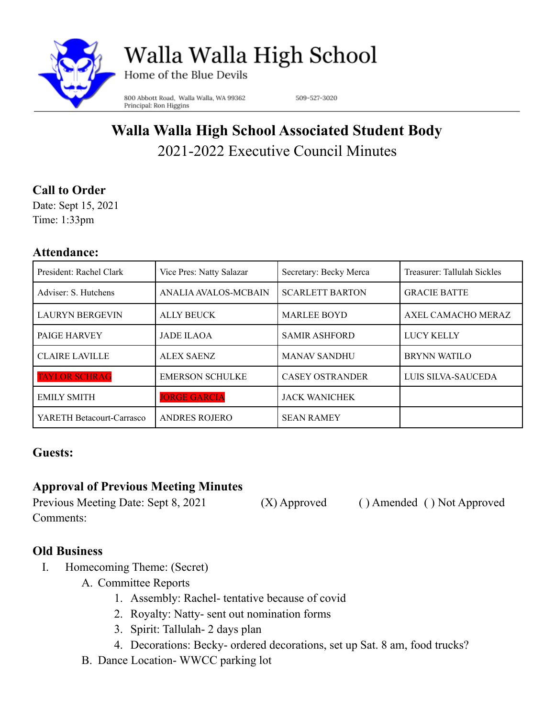

Walla Walla High School

Home of the Blue Devils

800 Abbott Road, Walla Walla, WA 99362 Principal: Ron Higgins

509-527-3020

# **Walla Walla High School Associated Student Body** 2021-2022 Executive Council Minutes

# **Call to Order**

Date: Sept 15, 2021 Time: 1:33pm

#### **Attendance:**

| President: Rachel Clark   | Vice Pres: Natty Salazar | Secretary: Becky Merca | Treasurer: Tallulah Sickles |
|---------------------------|--------------------------|------------------------|-----------------------------|
| Adviser: S. Hutchens      | ANALIA AVALOS-MCBAIN     | <b>SCARLETT BARTON</b> | <b>GRACIE BATTE</b>         |
| <b>LAURYN BERGEVIN</b>    | <b>ALLY BEUCK</b>        | <b>MARLEE BOYD</b>     | AXEL CAMACHO MERAZ          |
| PAIGE HARVEY              | <b>JADE ILAOA</b>        | <b>SAMIR ASHFORD</b>   | <b>LUCY KELLY</b>           |
| <b>CLAIRE LAVILLE</b>     | ALEX SAENZ               | <b>MANAV SANDHU</b>    | <b>BRYNN WATILO</b>         |
| <b>TAYLOR SCHRAG</b>      | <b>EMERSON SCHULKE</b>   | <b>CASEY OSTRANDER</b> | LUIS SILVA-SAUCEDA          |
| <b>EMILY SMITH</b>        | <b>JORGE GARCIA</b>      | <b>JACK WANICHEK</b>   |                             |
| YARETH Betacourt-Carrasco | <b>ANDRES ROJERO</b>     | <b>SEAN RAMEY</b>      |                             |

## **Guests:**

# **Approval of Previous Meeting Minutes**

Previous Meeting Date: Sept 8, 2021 (X) Approved ( ) Amended ( ) Not Approved Comments:

## **Old Business**

- I. Homecoming Theme: (Secret)
	- A. Committee Reports
		- 1. Assembly: Rachel- tentative because of covid
		- 2. Royalty: Natty- sent out nomination forms
		- 3. Spirit: Tallulah- 2 days plan
		- 4. Decorations: Becky- ordered decorations, set up Sat. 8 am, food trucks?
	- B. Dance Location- WWCC parking lot